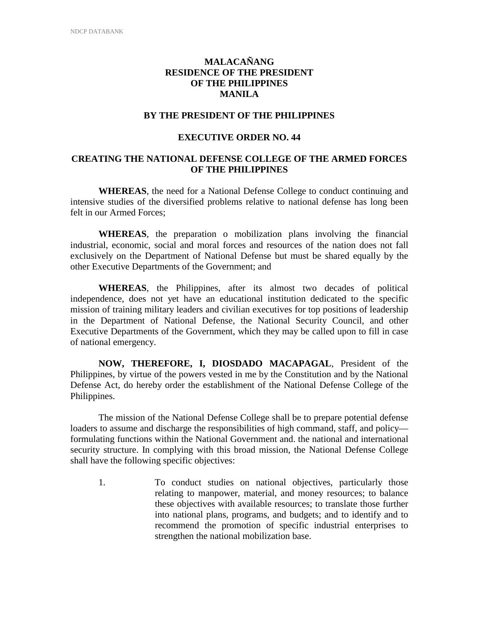# **MALACAÑANG RESIDENCE OF THE PRESIDENT OF THE PHILIPPINES MANILA**

# **BY THE PRESIDENT OF THE PHILIPPINES**

#### **EXECUTIVE ORDER NO. 44**

# **CREATING THE NATIONAL DEFENSE COLLEGE OF THE ARMED FORCES OF THE PHILIPPINES**

**WHEREAS**, the need for a National Defense College to conduct continuing and intensive studies of the diversified problems relative to national defense has long been felt in our Armed Forces;

**WHEREAS**, the preparation o mobilization plans involving the financial industrial, economic, social and moral forces and resources of the nation does not fall exclusively on the Department of National Defense but must be shared equally by the other Executive Departments of the Government; and

**WHEREAS**, the Philippines, after its almost two decades of political independence, does not yet have an educational institution dedicated to the specific mission of training military leaders and civilian executives for top positions of leadership in the Department of National Defense, the National Security Council, and other Executive Departments of the Government, which they may be called upon to fill in case of national emergency.

**NOW, THEREFORE, I, DIOSDADO MACAPAGAL**, President of the Philippines, by virtue of the powers vested in me by the Constitution and by the National Defense Act, do hereby order the establishment of the National Defense College of the Philippines.

The mission of the National Defense College shall be to prepare potential defense loaders to assume and discharge the responsibilities of high command, staff, and policy formulating functions within the National Government and. the national and international security structure. In complying with this broad mission, the National Defense College shall have the following specific objectives:

1. To conduct studies on national objectives, particularly those relating to manpower, material, and money resources; to balance these objectives with available resources; to translate those further into national plans, programs, and budgets; and to identify and to recommend the promotion of specific industrial enterprises to strengthen the national mobilization base.